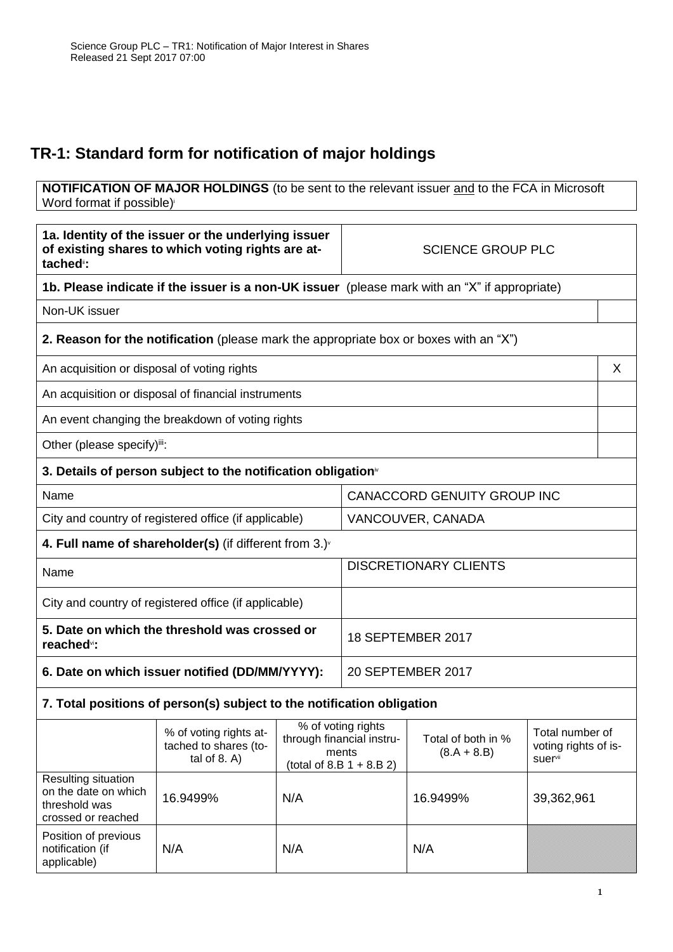## **TR-1: Standard form for notification of major holdings**

**NOTIFICATION OF MAJOR HOLDINGS** (to be sent to the relevant issuer and to the FCA in Microsoft Word format if possible)

| tached <sup>®</sup> :                                                                         | 1a. Identity of the issuer or the underlying issuer<br>of existing shares to which voting rights are at- |                   | <b>SCIENCE GROUP PLC</b>                                                                |                                     |                                                    |   |
|-----------------------------------------------------------------------------------------------|----------------------------------------------------------------------------------------------------------|-------------------|-----------------------------------------------------------------------------------------|-------------------------------------|----------------------------------------------------|---|
|                                                                                               | 1b. Please indicate if the issuer is a non-UK issuer (please mark with an "X" if appropriate)            |                   |                                                                                         |                                     |                                                    |   |
| Non-UK issuer                                                                                 |                                                                                                          |                   |                                                                                         |                                     |                                                    |   |
|                                                                                               | <b>2. Reason for the notification</b> (please mark the appropriate box or boxes with an "X")             |                   |                                                                                         |                                     |                                                    |   |
| An acquisition or disposal of voting rights                                                   |                                                                                                          |                   |                                                                                         |                                     |                                                    | X |
|                                                                                               | An acquisition or disposal of financial instruments                                                      |                   |                                                                                         |                                     |                                                    |   |
| An event changing the breakdown of voting rights                                              |                                                                                                          |                   |                                                                                         |                                     |                                                    |   |
| Other (please specify)iii:                                                                    |                                                                                                          |                   |                                                                                         |                                     |                                                    |   |
|                                                                                               | 3. Details of person subject to the notification obligation <sup>*</sup>                                 |                   |                                                                                         |                                     |                                                    |   |
| Name                                                                                          |                                                                                                          |                   | <b>CANACCORD GENUITY GROUP INC</b>                                                      |                                     |                                                    |   |
|                                                                                               | City and country of registered office (if applicable)                                                    |                   | VANCOUVER, CANADA                                                                       |                                     |                                                    |   |
|                                                                                               | 4. Full name of shareholder(s) (if different from $3.$ ) $\sqrt{ }$                                      |                   |                                                                                         |                                     |                                                    |   |
| <b>DISCRETIONARY CLIENTS</b><br>Name                                                          |                                                                                                          |                   |                                                                                         |                                     |                                                    |   |
| City and country of registered office (if applicable)                                         |                                                                                                          |                   |                                                                                         |                                     |                                                    |   |
| 5. Date on which the threshold was crossed or<br>18 SEPTEMBER 2017<br>reached <sup>vi</sup> : |                                                                                                          |                   |                                                                                         |                                     |                                                    |   |
| 6. Date on which issuer notified (DD/MM/YYYY):                                                |                                                                                                          | 20 SEPTEMBER 2017 |                                                                                         |                                     |                                                    |   |
|                                                                                               | 7. Total positions of person(s) subject to the notification obligation                                   |                   |                                                                                         |                                     |                                                    |   |
|                                                                                               | % of voting rights at-<br>tached to shares (to-<br>tal of $8. A$ )                                       |                   | % of voting rights<br>through financial instru-<br>ments<br>(total of 8.B $1 + 8.B 2$ ) | Total of both in %<br>$(8.A + 8.B)$ | Total number of<br>voting rights of is-<br>suervii |   |
| Resulting situation<br>on the date on which<br>threshold was<br>crossed or reached            | 16.9499%                                                                                                 | N/A               |                                                                                         | 16.9499%                            | 39,362,961                                         |   |
| Position of previous<br>notification (if<br>applicable)                                       | N/A                                                                                                      | N/A               |                                                                                         | N/A                                 |                                                    |   |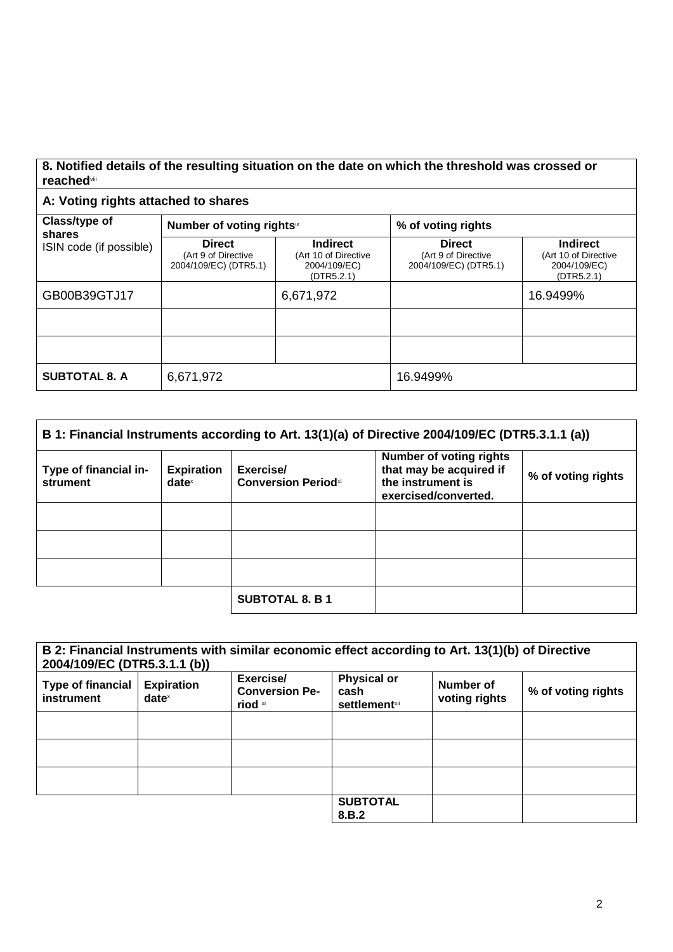## **8. Notified details of the resulting situation on the date on which the threshold was crossed or reached**viii

## **A: Voting rights attached to shares**

| Class/type of<br>shares | Number of voting rightsix                                     |                                                                       | % of voting rights                                            |                                                                       |
|-------------------------|---------------------------------------------------------------|-----------------------------------------------------------------------|---------------------------------------------------------------|-----------------------------------------------------------------------|
| ISIN code (if possible) | <b>Direct</b><br>(Art 9 of Directive<br>2004/109/EC) (DTR5.1) | <b>Indirect</b><br>(Art 10 of Directive<br>2004/109/EC)<br>(DTR5.2.1) | <b>Direct</b><br>(Art 9 of Directive<br>2004/109/EC) (DTR5.1) | <b>Indirect</b><br>(Art 10 of Directive<br>2004/109/EC)<br>(DTR5.2.1) |
| GB00B39GTJ17            |                                                               | 6,671,972                                                             |                                                               | 16.9499%                                                              |
|                         |                                                               |                                                                       |                                                               |                                                                       |
|                         |                                                               |                                                                       |                                                               |                                                                       |
| <b>SUBTOTAL 8. A</b>    | 6,671,972                                                     |                                                                       | 16.9499%                                                      |                                                                       |

|                                   |                               |                                         | B 1: Financial Instruments according to Art. 13(1)(a) of Directive 2004/109/EC (DTR5.3.1.1 (a))        |                    |
|-----------------------------------|-------------------------------|-----------------------------------------|--------------------------------------------------------------------------------------------------------|--------------------|
| Type of financial in-<br>strument | <b>Expiration</b><br>$date^x$ | Exercise/<br><b>Conversion Periodxi</b> | <b>Number of voting rights</b><br>that may be acquired if<br>the instrument is<br>exercised/converted. | % of voting rights |
|                                   |                               |                                         |                                                                                                        |                    |
|                                   |                               |                                         |                                                                                                        |                    |
|                                   |                               |                                         |                                                                                                        |                    |
|                                   |                               | <b>SUBTOTAL 8. B 1</b>                  |                                                                                                        |                    |

| 2004/109/EC (DTR5.3.1.1 (b))           |                                                        | B 2: Financial Instruments with similar economic effect according to Art. 13(1)(b) of Directive |                                                     |                            |                    |
|----------------------------------------|--------------------------------------------------------|-------------------------------------------------------------------------------------------------|-----------------------------------------------------|----------------------------|--------------------|
| <b>Type of financial</b><br>instrument | <b>Expiration</b><br>$date^{\scriptscriptstyle\times}$ | Exercise/<br><b>Conversion Pe-</b><br>riod xi                                                   | <b>Physical or</b><br>cash<br><b>settlement</b> xii | Number of<br>voting rights | % of voting rights |
|                                        |                                                        |                                                                                                 |                                                     |                            |                    |
|                                        |                                                        |                                                                                                 |                                                     |                            |                    |
|                                        |                                                        |                                                                                                 |                                                     |                            |                    |
|                                        |                                                        |                                                                                                 | <b>SUBTOTAL</b><br>8.B.2                            |                            |                    |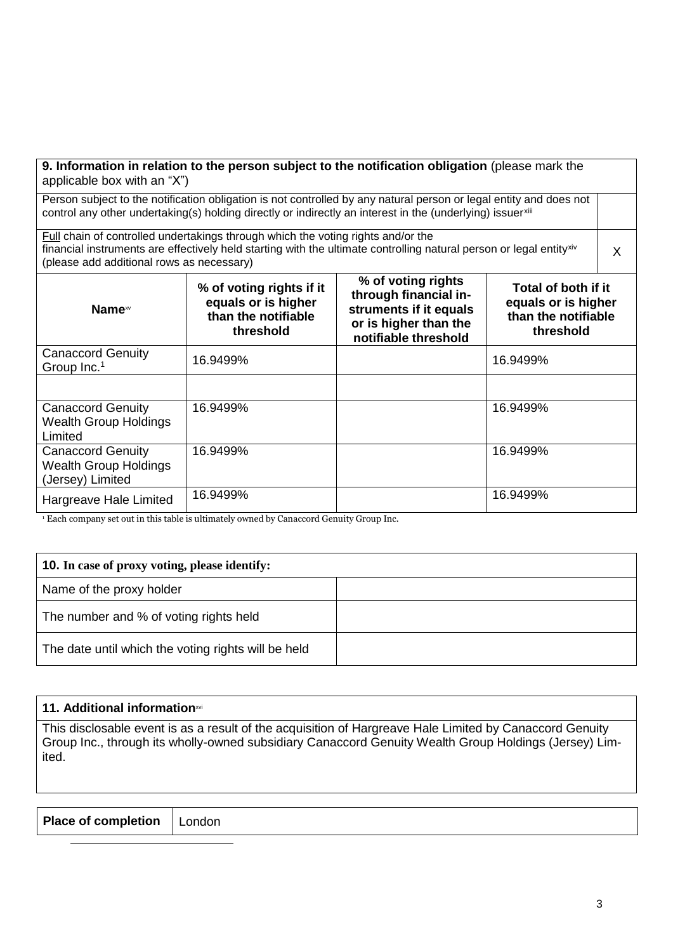| applicable box with an "X")                                                  | 9. Information in relation to the person subject to the notification obligation (please mark the                                                                                                                                 |                                                                                                                        |                                                                                |   |
|------------------------------------------------------------------------------|----------------------------------------------------------------------------------------------------------------------------------------------------------------------------------------------------------------------------------|------------------------------------------------------------------------------------------------------------------------|--------------------------------------------------------------------------------|---|
|                                                                              | Person subject to the notification obligation is not controlled by any natural person or legal entity and does not<br>control any other undertaking(s) holding directly or indirectly an interest in the (underlying) issuerxill |                                                                                                                        |                                                                                |   |
| (please add additional rows as necessary)                                    | Full chain of controlled undertakings through which the voting rights and/or the<br>financial instruments are effectively held starting with the ultimate controlling natural person or legal entity <sup>xiv</sup>              |                                                                                                                        |                                                                                | X |
| Name <sup>xv</sup>                                                           | % of voting rights if it<br>equals or is higher<br>than the notifiable<br>threshold                                                                                                                                              | % of voting rights<br>through financial in-<br>struments if it equals<br>or is higher than the<br>notifiable threshold | Total of both if it<br>equals or is higher<br>than the notifiable<br>threshold |   |
| <b>Canaccord Genuity</b><br>Group Inc. <sup>1</sup>                          | 16.9499%                                                                                                                                                                                                                         |                                                                                                                        | 16.9499%                                                                       |   |
|                                                                              |                                                                                                                                                                                                                                  |                                                                                                                        |                                                                                |   |
| <b>Canaccord Genuity</b><br><b>Wealth Group Holdings</b><br>Limited          | 16.9499%                                                                                                                                                                                                                         |                                                                                                                        | 16.9499%                                                                       |   |
| <b>Canaccord Genuity</b><br><b>Wealth Group Holdings</b><br>(Jersey) Limited | 16.9499%                                                                                                                                                                                                                         |                                                                                                                        | 16.9499%                                                                       |   |
| Hargreave Hale Limited                                                       | 16.9499%                                                                                                                                                                                                                         |                                                                                                                        | 16.9499%                                                                       |   |

<sup>1</sup><br><sup>1</sup> Each company set out in this table is ultimately owned by Canaccord Genuity Group Inc.

 $\overline{a}$ 

| <b>10.</b> In case of proxy voting, please identify: |  |
|------------------------------------------------------|--|
| Name of the proxy holder                             |  |
| The number and % of voting rights held               |  |
| The date until which the voting rights will be held  |  |

| 11. Additional information in                                                                                                                                                                                             |
|---------------------------------------------------------------------------------------------------------------------------------------------------------------------------------------------------------------------------|
| This disclosable event is as a result of the acquisition of Hargreave Hale Limited by Canaccord Genuity<br>Group Inc., through its wholly-owned subsidiary Canaccord Genuity Wealth Group Holdings (Jersey) Lim-<br>ited. |

| <b>Place of completion</b> | l London |
|----------------------------|----------|
|----------------------------|----------|